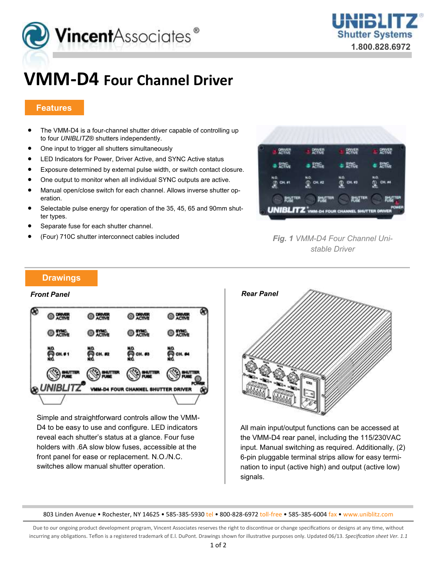



# **VMM-D4 Four Channel Driver**

### **Features**

- The VMM-D4 is a four-channel shutter driver capable of controlling up to four *UNIBLITZ*® shutters independently.
- One input to trigger all shutters simultaneously
- LED Indicators for Power, Driver Active, and SYNC Active status
- Exposure determined by external pulse width, or switch contact closure.
- One output to monitor when all individual SYNC outputs are active.
- Manual open/close switch for each channel. Allows inverse shutter operation.
- Selectable pulse energy for operation of the 35, 45, 65 and 90mm shutter types.
- Separate fuse for each shutter channel.
- (Four) 710C shutter interconnect cables included



*Fig. 1 VMM-D4 Four Channel Unistable Driver*

#### **Drawings**



Simple and straightforward controls allow the VMM-D4 to be easy to use and configure. LED indicators reveal each shutter's status at a glance. Four fuse holders with .6A slow blow fuses, accessible at the front panel for ease or replacement. N.O./N.C. switches allow manual shutter operation.



All main input/output functions can be accessed at the VMM-D4 rear panel, including the 115/230VAC input. Manual switching as required. Additionally, (2) 6-pin pluggable terminal strips allow for easy termination to input (active high) and output (active low) signals.

803 Linden Avenue • Rochester, NY 14625 • 585-385-5930 tel • 800-828-6972 toll-free • 585-385-6004 fax • www.uniblitz.com

Due to our ongoing product development program, Vincent Associates reserves the right to discontinue or change specifications or designs at any time, without incurring any obligations. Teflon is a registered trademark of E.l. DuPont. Drawings shown for illustrative purposes only. Updated 06/13. *Specification sheet Ver. 1.1*